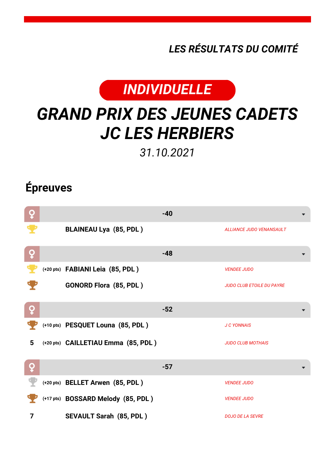*LES RÉSULTATS DU COMITÉ*



## *GRAND PRIX DES JEUNES CADETS JC LES HERBIERS*

*31.10.2021*

## **Épreuves**

| ò |                                     | $-40$ |                                  |
|---|-------------------------------------|-------|----------------------------------|
|   | <b>BLAINEAU Lya (85, PDL)</b>       |       | <b>ALLIANCE JUDO VENANSAULT</b>  |
| Q |                                     | $-48$ |                                  |
|   | (+20 pts) FABIANI Leia (85, PDL)    |       | <b>VENDEE JUDO</b>               |
|   | <b>GONORD Flora (85, PDL)</b>       |       | <b>JUDO CLUB ETOILE DU PAYRE</b> |
| Q |                                     | $-52$ |                                  |
|   | (+10 pts) PESQUET Louna (85, PDL)   |       | <b>J C YONNAIS</b>               |
| 5 | (+20 pts) CAILLETIAU Emma (85, PDL) |       | <b>JUDO CLUB MOTHAIS</b>         |
| Q |                                     | $-57$ |                                  |
|   | (+20 pts) BELLET Arwen (85, PDL)    |       | <b>VENDEE JUDO</b>               |
|   | (+17 pts) BOSSARD Melody (85, PDL)  |       | <b>VENDEE JUDO</b>               |
| 7 | <b>SEVAULT Sarah (85, PDL)</b>      |       | <b>DOJO DE LA SEVRE</b>          |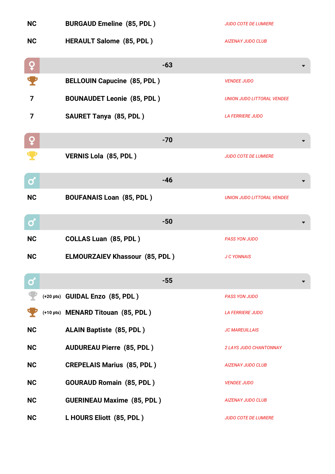| <b>NC</b>    | <b>BURGAUD Emeline (85, PDL)</b>      | <b>JUDO COTE DE LUMIERE</b>       |
|--------------|---------------------------------------|-----------------------------------|
| <b>NC</b>    | <b>HERAULT Salome (85, PDL)</b>       | <b>AIZENAY JUDO CLUB</b>          |
| ò            | $-63$                                 |                                   |
|              | <b>BELLOUIN Capucine (85, PDL)</b>    | <b>VENDEE JUDO</b>                |
| 7            | <b>BOUNAUDET Leonie (85, PDL)</b>     | <b>UNION JUDO LITTORAL VENDEE</b> |
| 7            | <b>SAURET Tanya (85, PDL)</b>         | <b>LA FERRIERE JUDO</b>           |
| ò            | $-70$                                 |                                   |
|              | VERNIS Lola (85, PDL)                 | <b>JUDO COTE DE LUMIERE</b>       |
| ර            | $-46$                                 |                                   |
| <b>NC</b>    | <b>BOUFANAIS Loan (85, PDL)</b>       | <b>UNION JUDO LITTORAL VENDEE</b> |
| $\mathbf{Q}$ | $-50$                                 |                                   |
| <b>NC</b>    | <b>COLLAS Luan (85, PDL)</b>          | <b>PASS YON JUDO</b>              |
| <b>NC</b>    | <b>ELMOURZAIEV Khassour (85, PDL)</b> | <b>J C YONNAIS</b>                |
| σ            | $-55$                                 |                                   |
|              | (+20 pts) GUIDAL Enzo (85, PDL)       | <b>PASS YON JUDO</b>              |
|              | (+10 pts) MENARD Titouan (85, PDL)    | <b>LA FERRIERE JUDO</b>           |
| <b>NC</b>    | <b>ALAIN Baptiste (85, PDL)</b>       | <b>JC MAREUILLAIS</b>             |
| <b>NC</b>    | <b>AUDUREAU Pierre (85, PDL)</b>      | <b>2 LAYS JUDO CHANTONNAY</b>     |
| <b>NC</b>    | <b>CREPELAIS Marius (85, PDL)</b>     | AIZENAY JUDO CLUB                 |
| <b>NC</b>    | <b>GOURAUD Romain (85, PDL)</b>       | <b>VENDEE JUDO</b>                |
| <b>NC</b>    | <b>GUERINEAU Maxime (85, PDL)</b>     | <b>AIZENAY JUDO CLUB</b>          |
| <b>NC</b>    | L HOURS Eliott (85, PDL)              | <b>JUDO COTE DE LUMIERE</b>       |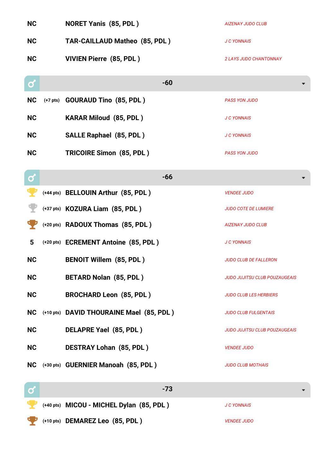| <b>NC</b>    |            | <b>NORET Yanis (85, PDL)</b>             | <b>AIZENAY JUDO CLUB</b>             |
|--------------|------------|------------------------------------------|--------------------------------------|
| <b>NC</b>    |            | <b>TAR-CAILLAUD Matheo (85, PDL)</b>     | <b>J C YONNAIS</b>                   |
| <b>NC</b>    |            | <b>VIVIEN Pierre (85, PDL)</b>           | <b>2 LAYS JUDO CHANTONNAY</b>        |
| σ            |            | $-60$                                    |                                      |
| <b>NC</b>    | $(+7$ pts) | <b>GOURAUD Tino (85, PDL)</b>            | <b>PASS YON JUDO</b>                 |
| <b>NC</b>    |            | <b>KARAR Miloud (85, PDL)</b>            | <b>J C YONNAIS</b>                   |
| <b>NC</b>    |            | <b>SALLE Raphael (85, PDL)</b>           | <b>J C YONNAIS</b>                   |
| <b>NC</b>    |            | <b>TRICOIRE Simon (85, PDL)</b>          | <b>PASS YON JUDO</b>                 |
| $\mathbf{Q}$ |            | $-66$                                    |                                      |
|              |            | (+44 pts) BELLOUIN Arthur (85, PDL)      | <b>VENDEE JUDO</b>                   |
|              |            | (+37 pts) KOZURA Liam (85, PDL)          | <b>JUDO COTE DE LUMIERE</b>          |
|              |            | (+20 pts) RADOUX Thomas (85, PDL)        | <b>AIZENAY JUDO CLUB</b>             |
| 5            |            | (+20 pts) ECREMENT Antoine (85, PDL)     | <b>J C YONNAIS</b>                   |
| <b>NC</b>    |            | <b>BENOIT Willem (85, PDL)</b>           | <b>JUDO CLUB DE FALLERON</b>         |
| <b>NC</b>    |            | <b>BETARD Nolan (85, PDL)</b>            | JUDO JUJITSU CLUB POUZAUGEAIS        |
| <b>NC</b>    |            | <b>BROCHARD Leon (85, PDL)</b>           | <b>JUDO CLUB LES HERBIERS</b>        |
| <b>NC</b>    |            | (+10 pts) DAVID THOURAINE Mael (85, PDL) | <b>JUDO CLUB FULGENTAIS</b>          |
| <b>NC</b>    |            | DELAPRE Yael (85, PDL)                   | <b>JUDO JUJITSU CLUB POUZAUGEAIS</b> |
| <b>NC</b>    |            | <b>DESTRAY Lohan (85, PDL)</b>           | <b>VENDEE JUDO</b>                   |
| <b>NC</b>    |            | (+30 pts) GUERNIER Manoah (85, PDL)      | <b>JUDO CLUB MOTHAIS</b>             |
| σ            |            | $-73$                                    |                                      |
|              |            | (+40 pts) MICOU - MICHEL Dylan (85, PDL) | <b>J C YONNAIS</b>                   |
|              |            | (+10 pts) DEMAREZ Leo (85, PDL)          | <b>VENDEE JUDO</b>                   |